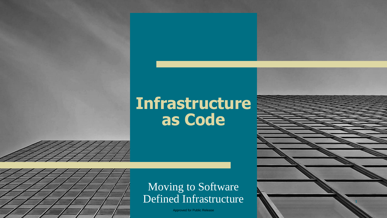#### **Infrastructure as Code**



#### Moving to Software Defined Infrastructure

Approved for Public Release

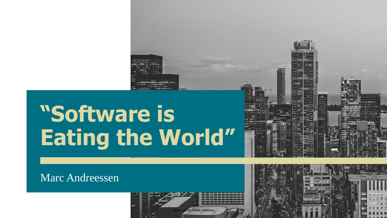

au. (Noted to M. Rubotto available at the real at

Marc Andreessen



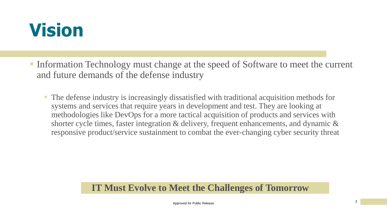### **Vision**

- Information Technology must change at the speed of Software to meet the current and future demands of the defense industry
	- The defense industry is increasingly dissatisfied with traditional acquisition methods for systems and services that require years in development and test. They are looking at methodologies like DevOps for a more tactical acquisition of products and services with shorter cycle times, faster integration  $\&$  delivery, frequent enhancements, and dynamic  $\&$ responsive product/service sustainment to combat the ever-changing cyber security threat

#### **IT Must Evolve to Meet the Challenges of Tomorrow**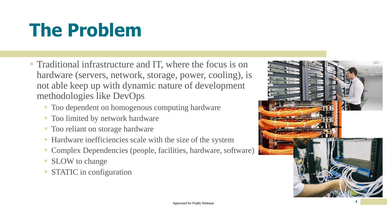# **The Problem**

- Traditional infrastructure and IT, where the focus is on hardware (servers, network, storage, power, cooling), is not able keep up with dynamic nature of development methodologies like DevOps
	- Too dependent on homogenous computing hardware
	- Too limited by network hardware
	- **Too reliant on storage hardware**
	- Hardware inefficiencies scale with the size of the system
	- Complex Dependencies (people, facilities, hardware, software)
	- **E** SLOW to change
	- **STATIC in configuration**

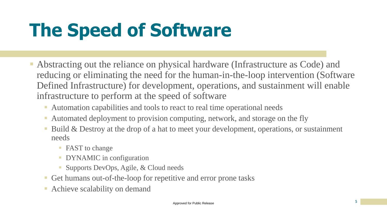# **The Speed of Software**

- Abstracting out the reliance on physical hardware (Infrastructure as Code) and reducing or eliminating the need for the human-in-the-loop intervention (Software Defined Infrastructure) for development, operations, and sustainment will enable infrastructure to perform at the speed of software
	- Automation capabilities and tools to react to real time operational needs
	- Automated deployment to provision computing, network, and storage on the fly
	- Build & Destroy at the drop of a hat to meet your development, operations, or sustainment needs
		- **FAST to change**
		- **DYNAMIC** in configuration
		- Supports DevOps, Agile, & Cloud needs
	- Get humans out-of-the-loop for repetitive and error prone tasks
	- **Exercise Scalability on demand**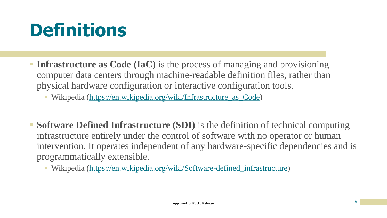## **Definitions**

- **Infrastructure as Code (IaC)** is the process of managing and provisioning computer data centers through machine-readable definition files, rather than physical hardware configuration or interactive configuration tools.
	- Wikipedia [\(https://en.wikipedia.org/wiki/Infrastructure\\_as\\_Code\)](https://en.wikipedia.org/wiki/Infrastructure_as_Code)
- **Software Defined Infrastructure (SDI)** is the definition of technical computing infrastructure entirely under the control of software with no operator or human intervention. It operates independent of any hardware-specific dependencies and is programmatically extensible.
	- Wikipedia [\(https://en.wikipedia.org/wiki/Software-defined\\_infrastructure](https://en.wikipedia.org/wiki/Software-defined_infrastructure))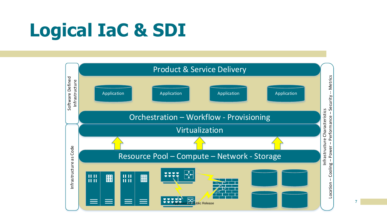# **Logical IaC & SDI**



**7**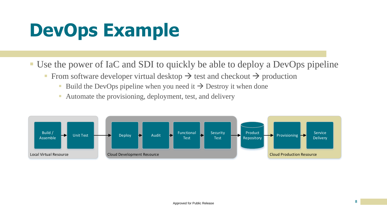## **DevOps Example**

■ Use the power of IaC and SDI to quickly be able to deploy a DevOps pipeline

- From software developer virtual desktop  $\rightarrow$  test and checkout  $\rightarrow$  production
	- Build the DevOps pipeline when you need it  $\rightarrow$  Destroy it when done
	- Automate the provisioning, deployment, test, and delivery

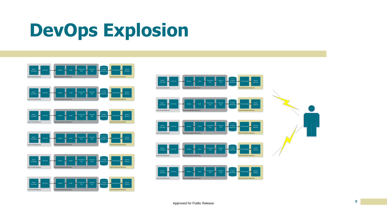## **DevOps Explosion**



Cloud Production Resource

Local Virtual Resource

Cloud Development Resource